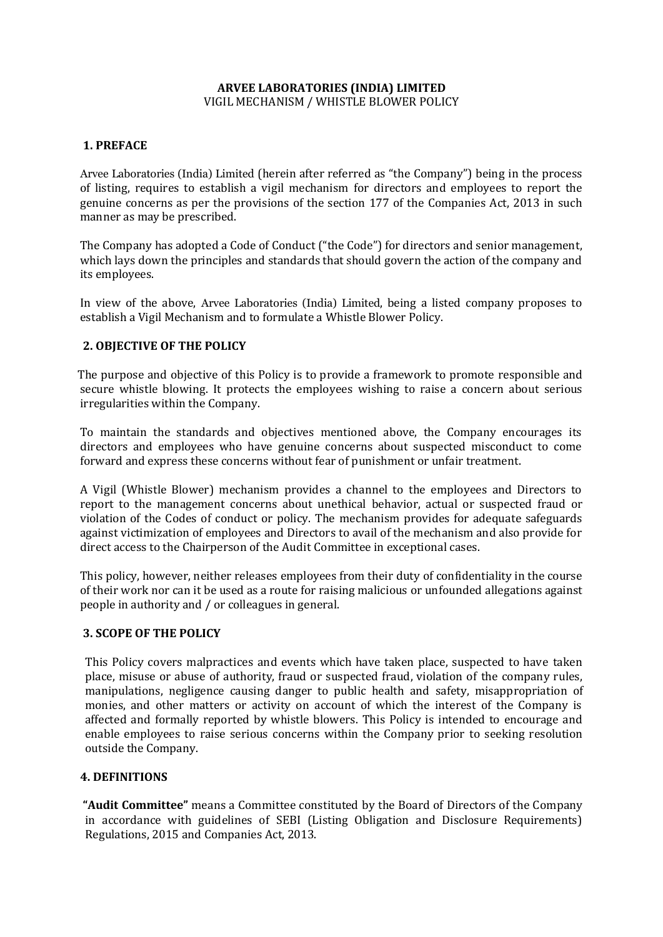## **ARVEE LABORATORIES (INDIA) LIMITED**  VIGIL MECHANISM / WHISTLE BLOWER POLICY

## **1. PREFACE**

Arvee Laboratories (India) Limited (herein after referred as "the Company") being in the process of listing, requires to establish a vigil mechanism for directors and employees to report the genuine concerns as per the provisions of the section 177 of the Companies Act, 2013 in such manner as may be prescribed.

The Company has adopted a Code of Conduct ("the Code") for directors and senior management, which lays down the principles and standards that should govern the action of the company and its employees.

In view of the above, Arvee Laboratories (India) Limited, being a listed company proposes to establish a Vigil Mechanism and to formulate a Whistle Blower Policy.

### **2. OBJECTIVE OF THE POLICY**

The purpose and objective of this Policy is to provide a framework to promote responsible and secure whistle blowing. It protects the employees wishing to raise a concern about serious irregularities within the Company.

To maintain the standards and objectives mentioned above, the Company encourages its directors and employees who have genuine concerns about suspected misconduct to come forward and express these concerns without fear of punishment or unfair treatment.

A Vigil (Whistle Blower) mechanism provides a channel to the employees and Directors to report to the management concerns about unethical behavior, actual or suspected fraud or violation of the Codes of conduct or policy. The mechanism provides for adequate safeguards against victimization of employees and Directors to avail of the mechanism and also provide for direct access to the Chairperson of the Audit Committee in exceptional cases.

This policy, however, neither releases employees from their duty of confidentiality in the course of their work nor can it be used as a route for raising malicious or unfounded allegations against people in authority and / or colleagues in general.

#### **3. SCOPE OF THE POLICY**

This Policy covers malpractices and events which have taken place, suspected to have taken place, misuse or abuse of authority, fraud or suspected fraud, violation of the company rules, manipulations, negligence causing danger to public health and safety, misappropriation of monies, and other matters or activity on account of which the interest of the Company is affected and formally reported by whistle blowers. This Policy is intended to encourage and enable employees to raise serious concerns within the Company prior to seeking resolution outside the Company.

#### **4. DEFINITIONS**

**"Audit Committee"** means a Committee constituted by the Board of Directors of the Company in accordance with guidelines of SEBI (Listing Obligation and Disclosure Requirements) Regulations, 2015 and Companies Act, 2013.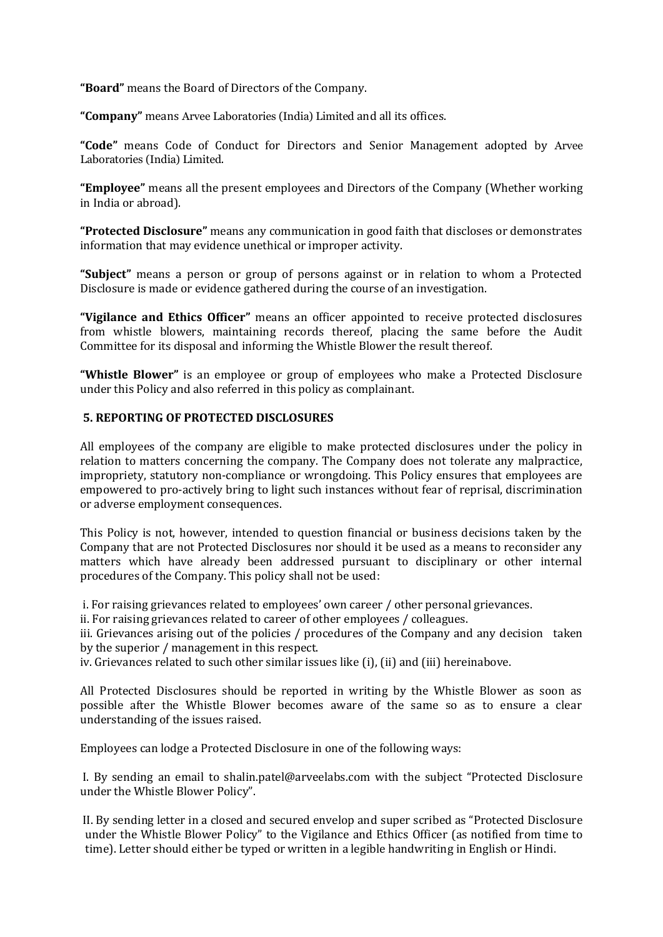**"Board"** means the Board of Directors of the Company.

**"Company"** means Arvee Laboratories (India) Limited and all its offices.

**"Code"** means Code of Conduct for Directors and Senior Management adopted by Arvee Laboratories (India) Limited.

**"Employee"** means all the present employees and Directors of the Company (Whether working in India or abroad).

**"Protected Disclosure"** means any communication in good faith that discloses or demonstrates information that may evidence unethical or improper activity.

**"Subject"** means a person or group of persons against or in relation to whom a Protected Disclosure is made or evidence gathered during the course of an investigation.

**"Vigilance and Ethics Officer"** means an officer appointed to receive protected disclosures from whistle blowers, maintaining records thereof, placing the same before the Audit Committee for its disposal and informing the Whistle Blower the result thereof.

**"Whistle Blower"** is an employee or group of employees who make a Protected Disclosure under this Policy and also referred in this policy as complainant.

### **5. REPORTING OF PROTECTED DISCLOSURES**

All employees of the company are eligible to make protected disclosures under the policy in relation to matters concerning the company. The Company does not tolerate any malpractice, impropriety, statutory non-compliance or wrongdoing. This Policy ensures that employees are empowered to pro-actively bring to light such instances without fear of reprisal, discrimination or adverse employment consequences.

This Policy is not, however, intended to question financial or business decisions taken by the Company that are not Protected Disclosures nor should it be used as a means to reconsider any matters which have already been addressed pursuant to disciplinary or other internal procedures of the Company. This policy shall not be used:

i. For raising grievances related to employees' own career / other personal grievances.

ii. For raising grievances related to career of other employees / colleagues.

iii. Grievances arising out of the policies / procedures of the Company and any decision taken by the superior / management in this respect.

iv. Grievances related to such other similar issues like (i), (ii) and (iii) hereinabove.

All Protected Disclosures should be reported in writing by the Whistle Blower as soon as possible after the Whistle Blower becomes aware of the same so as to ensure a clear understanding of the issues raised.

Employees can lodge a Protected Disclosure in one of the following ways:

I. By sending an email to shalin.patel@arveelabs.com with the subject "Protected Disclosure under the Whistle Blower Policy".

II. By sending letter in a closed and secured envelop and super scribed as "Protected Disclosure under the Whistle Blower Policy" to the Vigilance and Ethics Officer (as notified from time to time). Letter should either be typed or written in a legible handwriting in English or Hindi.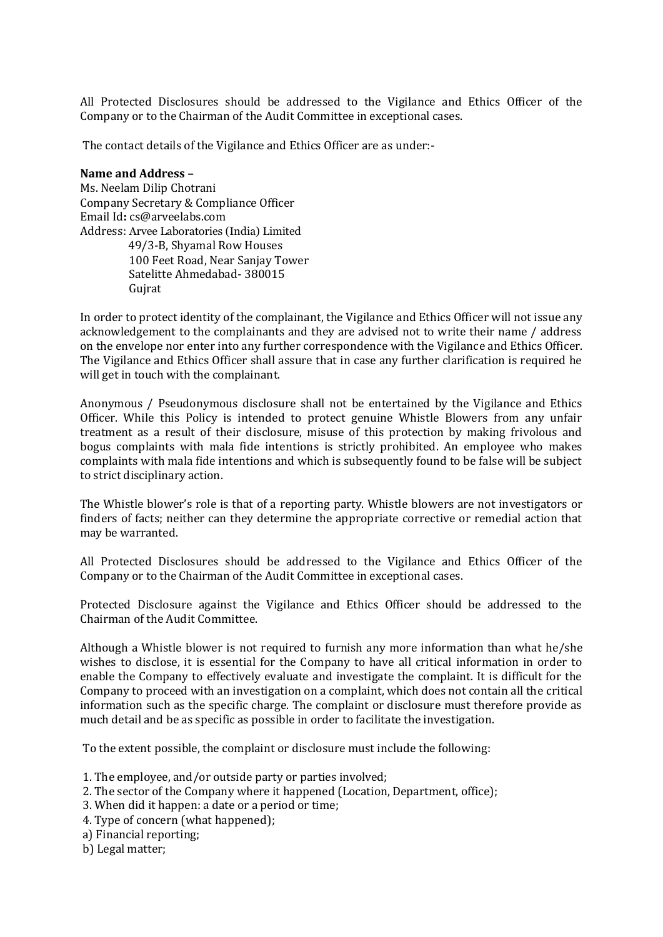All Protected Disclosures should be addressed to the Vigilance and Ethics Officer of the Company or to the Chairman of the Audit Committee in exceptional cases.

The contact details of the Vigilance and Ethics Officer are as under:-

#### **Name and Address –**

Ms. Neelam Dilip Chotrani Company Secretary & Compliance Officer Email Id**:** cs@arveelabs.com Address: Arvee Laboratories (India) Limited 49/3-B, Shyamal Row Houses 100 Feet Road, Near Sanjay Tower Satelitte Ahmedabad- 380015 Gujrat

In order to protect identity of the complainant, the Vigilance and Ethics Officer will not issue any acknowledgement to the complainants and they are advised not to write their name / address on the envelope nor enter into any further correspondence with the Vigilance and Ethics Officer. The Vigilance and Ethics Officer shall assure that in case any further clarification is required he will get in touch with the complainant.

Anonymous / Pseudonymous disclosure shall not be entertained by the Vigilance and Ethics Officer. While this Policy is intended to protect genuine Whistle Blowers from any unfair treatment as a result of their disclosure, misuse of this protection by making frivolous and bogus complaints with mala fide intentions is strictly prohibited. An employee who makes complaints with mala fide intentions and which is subsequently found to be false will be subject to strict disciplinary action.

The Whistle blower's role is that of a reporting party. Whistle blowers are not investigators or finders of facts; neither can they determine the appropriate corrective or remedial action that may be warranted.

All Protected Disclosures should be addressed to the Vigilance and Ethics Officer of the Company or to the Chairman of the Audit Committee in exceptional cases.

Protected Disclosure against the Vigilance and Ethics Officer should be addressed to the Chairman of the Audit Committee.

Although a Whistle blower is not required to furnish any more information than what he/she wishes to disclose, it is essential for the Company to have all critical information in order to enable the Company to effectively evaluate and investigate the complaint. It is difficult for the Company to proceed with an investigation on a complaint, which does not contain all the critical information such as the specific charge. The complaint or disclosure must therefore provide as much detail and be as specific as possible in order to facilitate the investigation.

To the extent possible, the complaint or disclosure must include the following:

- 1. The employee, and/or outside party or parties involved;
- 2. The sector of the Company where it happened (Location, Department, office);
- 3. When did it happen: a date or a period or time;
- 4. Type of concern (what happened);
- a) Financial reporting;
- b) Legal matter;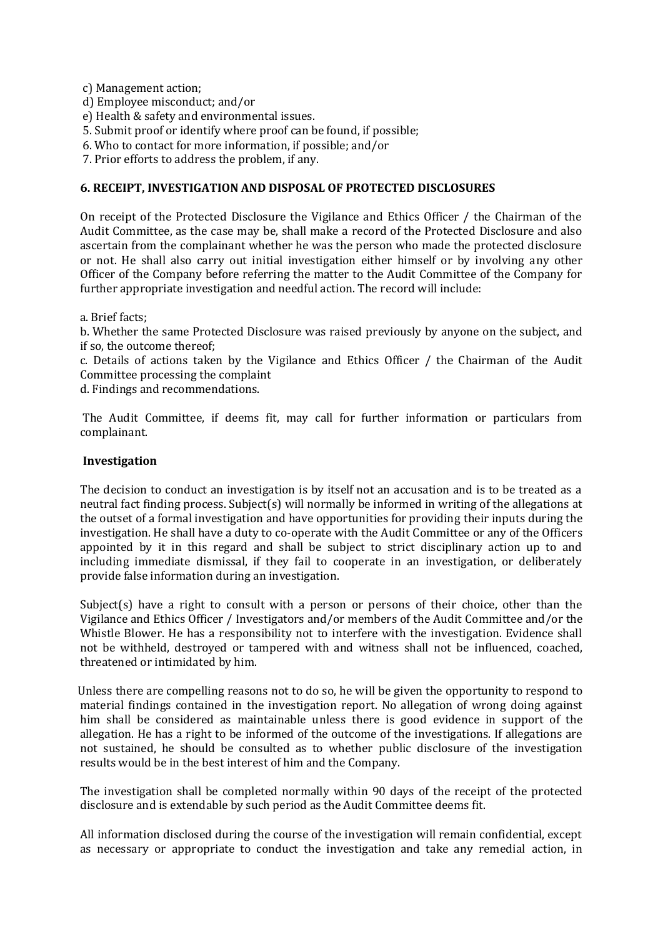c) Management action;

- d) Employee misconduct; and/or
- e) Health & safety and environmental issues.
- 5. Submit proof or identify where proof can be found, if possible;
- 6. Who to contact for more information, if possible; and/or
- 7. Prior efforts to address the problem, if any.

### **6. RECEIPT, INVESTIGATION AND DISPOSAL OF PROTECTED DISCLOSURES**

On receipt of the Protected Disclosure the Vigilance and Ethics Officer / the Chairman of the Audit Committee, as the case may be, shall make a record of the Protected Disclosure and also ascertain from the complainant whether he was the person who made the protected disclosure or not. He shall also carry out initial investigation either himself or by involving any other Officer of the Company before referring the matter to the Audit Committee of the Company for further appropriate investigation and needful action. The record will include:

a. Brief facts;

b. Whether the same Protected Disclosure was raised previously by anyone on the subject, and if so, the outcome thereof;

c. Details of actions taken by the Vigilance and Ethics Officer / the Chairman of the Audit Committee processing the complaint

d. Findings and recommendations.

The Audit Committee, if deems fit, may call for further information or particulars from complainant.

#### **Investigation**

The decision to conduct an investigation is by itself not an accusation and is to be treated as a neutral fact finding process. Subject(s) will normally be informed in writing of the allegations at the outset of a formal investigation and have opportunities for providing their inputs during the investigation. He shall have a duty to co-operate with the Audit Committee or any of the Officers appointed by it in this regard and shall be subject to strict disciplinary action up to and including immediate dismissal, if they fail to cooperate in an investigation, or deliberately provide false information during an investigation.

Subject(s) have a right to consult with a person or persons of their choice, other than the Vigilance and Ethics Officer / Investigators and/or members of the Audit Committee and/or the Whistle Blower. He has a responsibility not to interfere with the investigation. Evidence shall not be withheld, destroyed or tampered with and witness shall not be influenced, coached, threatened or intimidated by him.

Unless there are compelling reasons not to do so, he will be given the opportunity to respond to material findings contained in the investigation report. No allegation of wrong doing against him shall be considered as maintainable unless there is good evidence in support of the allegation. He has a right to be informed of the outcome of the investigations. If allegations are not sustained, he should be consulted as to whether public disclosure of the investigation results would be in the best interest of him and the Company.

The investigation shall be completed normally within 90 days of the receipt of the protected disclosure and is extendable by such period as the Audit Committee deems fit.

All information disclosed during the course of the investigation will remain confidential, except as necessary or appropriate to conduct the investigation and take any remedial action, in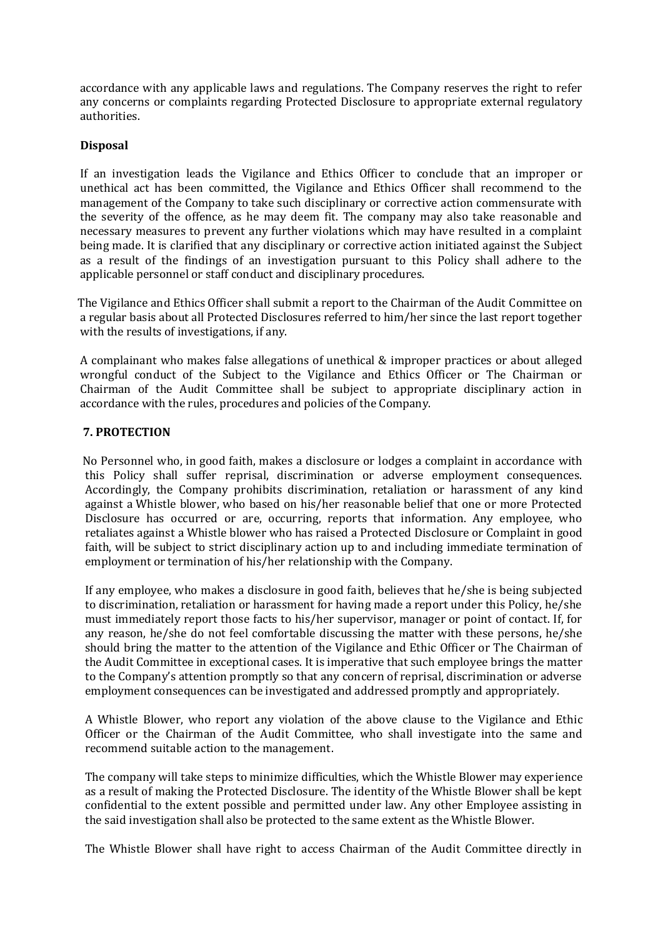accordance with any applicable laws and regulations. The Company reserves the right to refer any concerns or complaints regarding Protected Disclosure to appropriate external regulatory authorities.

# **Disposal**

If an investigation leads the Vigilance and Ethics Officer to conclude that an improper or unethical act has been committed, the Vigilance and Ethics Officer shall recommend to the management of the Company to take such disciplinary or corrective action commensurate with the severity of the offence, as he may deem fit. The company may also take reasonable and necessary measures to prevent any further violations which may have resulted in a complaint being made. It is clarified that any disciplinary or corrective action initiated against the Subject as a result of the findings of an investigation pursuant to this Policy shall adhere to the applicable personnel or staff conduct and disciplinary procedures.

The Vigilance and Ethics Officer shall submit a report to the Chairman of the Audit Committee on a regular basis about all Protected Disclosures referred to him/her since the last report together with the results of investigations, if any.

A complainant who makes false allegations of unethical & improper practices or about alleged wrongful conduct of the Subject to the Vigilance and Ethics Officer or The Chairman or Chairman of the Audit Committee shall be subject to appropriate disciplinary action in accordance with the rules, procedures and policies of the Company.

# **7. PROTECTION**

No Personnel who, in good faith, makes a disclosure or lodges a complaint in accordance with this Policy shall suffer reprisal, discrimination or adverse employment consequences. Accordingly, the Company prohibits discrimination, retaliation or harassment of any kind against a Whistle blower, who based on his/her reasonable belief that one or more Protected Disclosure has occurred or are, occurring, reports that information. Any employee, who retaliates against a Whistle blower who has raised a Protected Disclosure or Complaint in good faith, will be subject to strict disciplinary action up to and including immediate termination of employment or termination of his/her relationship with the Company.

If any employee, who makes a disclosure in good faith, believes that he/she is being subjected to discrimination, retaliation or harassment for having made a report under this Policy, he/she must immediately report those facts to his/her supervisor, manager or point of contact. If, for any reason, he/she do not feel comfortable discussing the matter with these persons, he/she should bring the matter to the attention of the Vigilance and Ethic Officer or The Chairman of the Audit Committee in exceptional cases. It is imperative that such employee brings the matter to the Company's attention promptly so that any concern of reprisal, discrimination or adverse employment consequences can be investigated and addressed promptly and appropriately.

A Whistle Blower, who report any violation of the above clause to the Vigilance and Ethic Officer or the Chairman of the Audit Committee, who shall investigate into the same and recommend suitable action to the management.

The company will take steps to minimize difficulties, which the Whistle Blower may experience as a result of making the Protected Disclosure. The identity of the Whistle Blower shall be kept confidential to the extent possible and permitted under law. Any other Employee assisting in the said investigation shall also be protected to the same extent as the Whistle Blower.

The Whistle Blower shall have right to access Chairman of the Audit Committee directly in